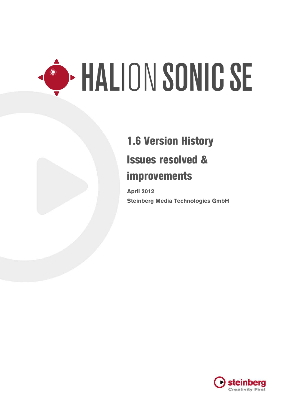# $\overline{a}$

## 1.6 Version History Issues resolved & improvements

**April 2012 Steinberg Media Technologies GmbH**

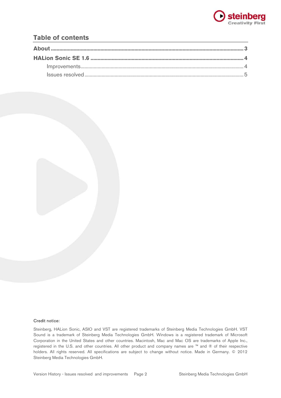

#### **Table of contents**



#### Credit notice:

Steinberg, HALion Sonic, ASIO and VST are registered trademarks of Steinberg Media Technologies GmbH. VST Sound is a trademark of Steinberg Media Technologies GmbH. Windows is a registered trademark of Microsoft Corporation in the United States and other countries. Macintosh, Mac and Mac OS are trademarks of Apple Inc., registered in the U.S. and other countries. All other product and company names are ™ and ® of their respective holders. All rights reserved. All specifications are subject to change without notice. Made in Germany. © 2012 Steinberg Media Technologies GmbH.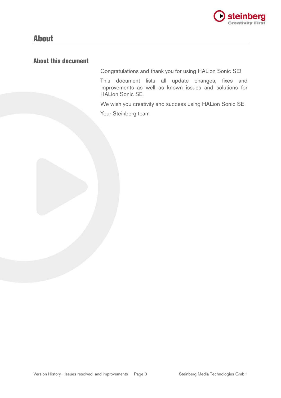

### About

#### About this document

Congratulations and thank you for using HALion Sonic SE!

This document lists all update changes, fixes and improvements as well as known issues and solutions for HALion Sonic SE.

We wish you creativity and success using HALion Sonic SE! Your Steinberg team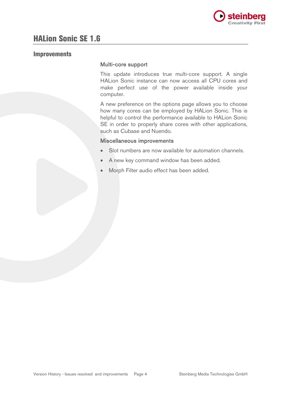

#### Improvements

#### Multi-core support

This update introduces true multi-core support. A single HALion Sonic instance can now access all CPU cores and make perfect use of the power available inside your computer.

A new preference on the options page allows you to choose how many cores can be employed by HALion Sonic. This is helpful to control the performance available to HALion Sonic SE in order to properly share cores with other applications, such as Cubase and Nuendo.

#### Miscellaneous improvements

- Slot numbers are now available for automation channels.
- A new key command window has been added.
- Morph Filter audio effect has been added.